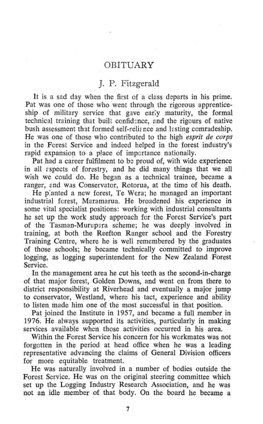## **OBITUARY**

## J. P. Fitzgerald

It is a sad day when the first of a class departs in his prime. Pat was one of those who went through the rigorous apprenticeship of military service that gave early maturity, the formal technical training that built confidence, and the rigours of native bush assessment that formed self-reliance and testing comradeship. He was one of those who contributed to the high *esprit de corps*  in the Forest Service and indeed helped in the forest industry's rapid expansion to a place of importance nationally.

Pat had a career fulfilment to be proud of, with wide experience in all cspects of forestry, and he did many things that we all wish we could do. He began as a technical trainee, became a ranger, and was Conservator, Rotorua, at the time of his death.

He planted a new forest. Te Wera; he managed an important industrial forest, Maramarua. He broadened his experience in some vital specialist positions: working with industrial consultants he set up the work study approach for the Forest Service's part of the Tasman-Murupsra scheme; he was deeply involved in training, at both the Reefton Ranger school and the Forestry Training Centre, where he is well remembered by the graduates of those schools; he became technically committed to improve logging, as logging superintendent for the New Zealand Forest Service.

In the management area he cut his teeth as the second-in-charge of that major forest, Golden Downs, and went on from there to district responsibility at Riverhead and eventually a major jump to conservator, Westland, where his tact, experience and ability to listen made him one of the most successful in that position.

Pat joined the Institute in 1957, and became a full member in 1976. He always supported its activities, particularly in making services available when those activities occurred in his area.

Within the Forest Service his concern for his workmates was not forgotten in the period at head office when he was a leading representative advancing the claims of General Division officers for more equitable treatment.

He was naturally involved in a number of bodies outside the Forest Service. He was on the original steering committee which set up the Logging Industry Research Association, and he was not an idle member of that body. On the board he became a